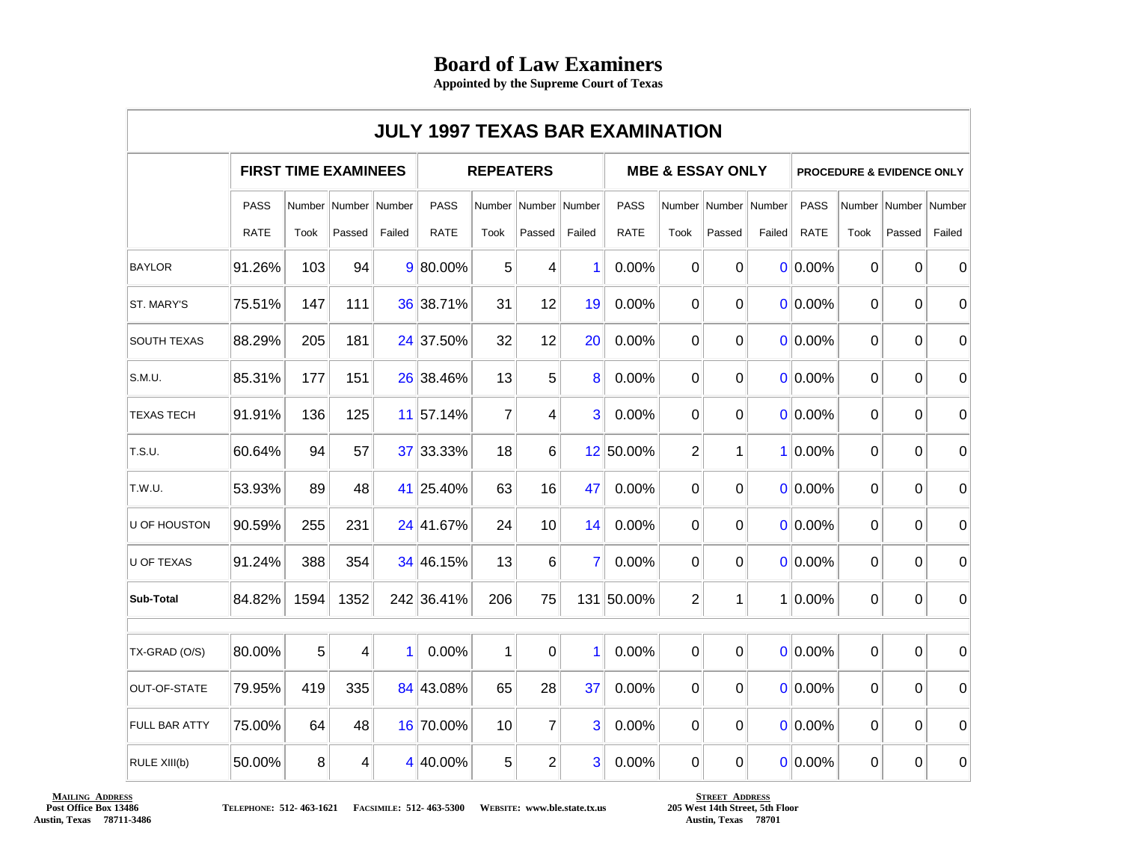## **Board of Law Examiners**

**Appointed by the Supreme Court of Texas**

|                      |                             |      |                          |        | <b>JULY 1997 TEXAS BAR EXAMINATION</b> |                |                |                |                             |                |                          |        |                                      |                |                          |              |
|----------------------|-----------------------------|------|--------------------------|--------|----------------------------------------|----------------|----------------|----------------|-----------------------------|----------------|--------------------------|--------|--------------------------------------|----------------|--------------------------|--------------|
|                      | <b>FIRST TIME EXAMINEES</b> |      |                          |        | <b>REPEATERS</b>                       |                |                |                | <b>MBE &amp; ESSAY ONLY</b> |                |                          |        | <b>PROCEDURE &amp; EVIDENCE ONLY</b> |                |                          |              |
|                      | <b>PASS</b>                 |      | Number   Number   Number |        | <b>PASS</b>                            |                | Number Number  | Number         | <b>PASS</b>                 |                | Number   Number   Number |        | <b>PASS</b>                          |                | Number   Number   Number |              |
|                      | <b>RATE</b>                 | Took | Passed                   | Failed | <b>RATE</b>                            | Took           | Passed         | Failed         | RATE                        | Took           | Passed                   | Failed | <b>RATE</b>                          | Took           | Passed                   | Failed       |
| <b>BAYLOR</b>        | 91.26%                      | 103  | 94                       |        | 9 80.00%                               | 5              | 4              | 1              | 0.00%                       | $\overline{0}$ | $\overline{0}$           |        | $0 0.00\%$                           | $\overline{0}$ | $\Omega$                 | $\mathbf{0}$ |
| ST. MARY'S           | 75.51%                      | 147  | 111                      |        | 36 38.71%                              | 31             | 12             | 19             | 0.00%                       | 0              | 0                        |        | $0 0.00\%$                           | $\overline{0}$ | 0                        | $\mathbf 0$  |
| <b>SOUTH TEXAS</b>   | 88.29%                      | 205  | 181                      |        | 24 37.50%                              | 32             | 12             | 20             | 0.00%                       | 0              | $\overline{0}$           |        | $0 0.00\%$                           | $\overline{0}$ | 0                        | $\mathbf 0$  |
| S.M.U.               | 85.31%                      | 177  | 151                      |        | 26 38.46%                              | 13             | 5              | 8              | 0.00%                       | 0              | 0                        |        | $0 0.00\%$                           | $\Omega$       | $\Omega$                 | 0            |
| <b>TEXAS TECH</b>    | 91.91%                      | 136  | 125                      |        | 11 57.14%                              | $\overline{7}$ | 4              | 3              | 0.00%                       | 0              | 0                        |        | $0 0.00\%$                           | $\overline{0}$ | 0                        | 0            |
| T.S.U.               | 60.64%                      | 94   | 57                       |        | 37 33.33%                              | 18             | 6              |                | 12 50.00%                   | $\overline{2}$ | $\mathbf 1$              |        | $1 0.00\%$                           | $\overline{0}$ | $\Omega$                 | $\Omega$     |
| T.W.U.               | 53.93%                      | 89   | 48                       |        | 41 25.40%                              | 63             | 16             | 47             | 0.00%                       | $\overline{0}$ | $\overline{0}$           |        | $0 0.00\%$                           | $\overline{0}$ | $\Omega$                 | $\Omega$     |
| U OF HOUSTON         | 90.59%                      | 255  | 231                      |        | 24 41.67%                              | 24             | 10             | 14             | 0.00%                       | 0              | $\Omega$                 |        | 0 0.00%                              | $\overline{0}$ | $\Omega$                 | $\mathbf 0$  |
| <b>U OF TEXAS</b>    | 91.24%                      | 388  | 354                      |        | 34 46.15%                              | 13             | 6              | $\overline{7}$ | 0.00%                       | 0              | $\Omega$                 |        | $0 0.00\%$                           | $\overline{0}$ | 0                        | $\mathbf{0}$ |
| Sub-Total            | 84.82%                      | 1594 | 1352                     |        | 242 36.41%                             | 206            | 75             |                | 131 50.00%                  | $\overline{c}$ | $\mathbf 1$              |        | $1 0.00\%$                           | $\overline{0}$ | $\overline{0}$           | $\mathbf 0$  |
|                      |                             |      | $\overline{4}$           |        |                                        |                |                | $\overline{1}$ |                             |                | $\overline{0}$           |        |                                      | $\overline{0}$ |                          |              |
| TX-GRAD (O/S)        | 80.00%                      | 5    |                          | 1      | 0.00%                                  | $\mathbf 1$    | $\Omega$       |                | 0.00%                       | $\overline{0}$ |                          |        | $0 0.00\% $                          |                | $\overline{0}$           | $\mathbf{0}$ |
| OUT-OF-STATE         | 79.95%                      | 419  | 335                      |        | 84 43.08%                              | 65             | 28             | 37             | 0.00%                       | 0              | 0                        |        | $0 0.00\%$                           | $\overline{0}$ | 0                        | 0            |
| <b>FULL BAR ATTY</b> | 75.00%                      | 64   | 48                       |        | 16 70.00%                              | 10             | $\overline{7}$ | 3              | 0.00%                       | 0              | 0                        |        | 0 0.00%                              | $\mathbf 0$    | 0                        | $\mathbf 0$  |
| RULE XIII(b)         | 50.00%                      | 8    | 4                        |        | 4 40.00%                               | 5              | $\overline{2}$ | 3              | 0.00%                       | 0              | 0                        |        | 0 0.00%                              | 0              | 0                        | 0            |

## **MAILING ADDRESS Post Office Box 13486 Austin, Texas 78711-3486**

**TELEPHONE: 512- 463-1621 FACSIMILE: 512- 463-5300 WEBSITE: www.ble.state.tx.us**

**STREET ADDRESS 205 West 14th Street, 5th Floor Austin, Texas 78701**